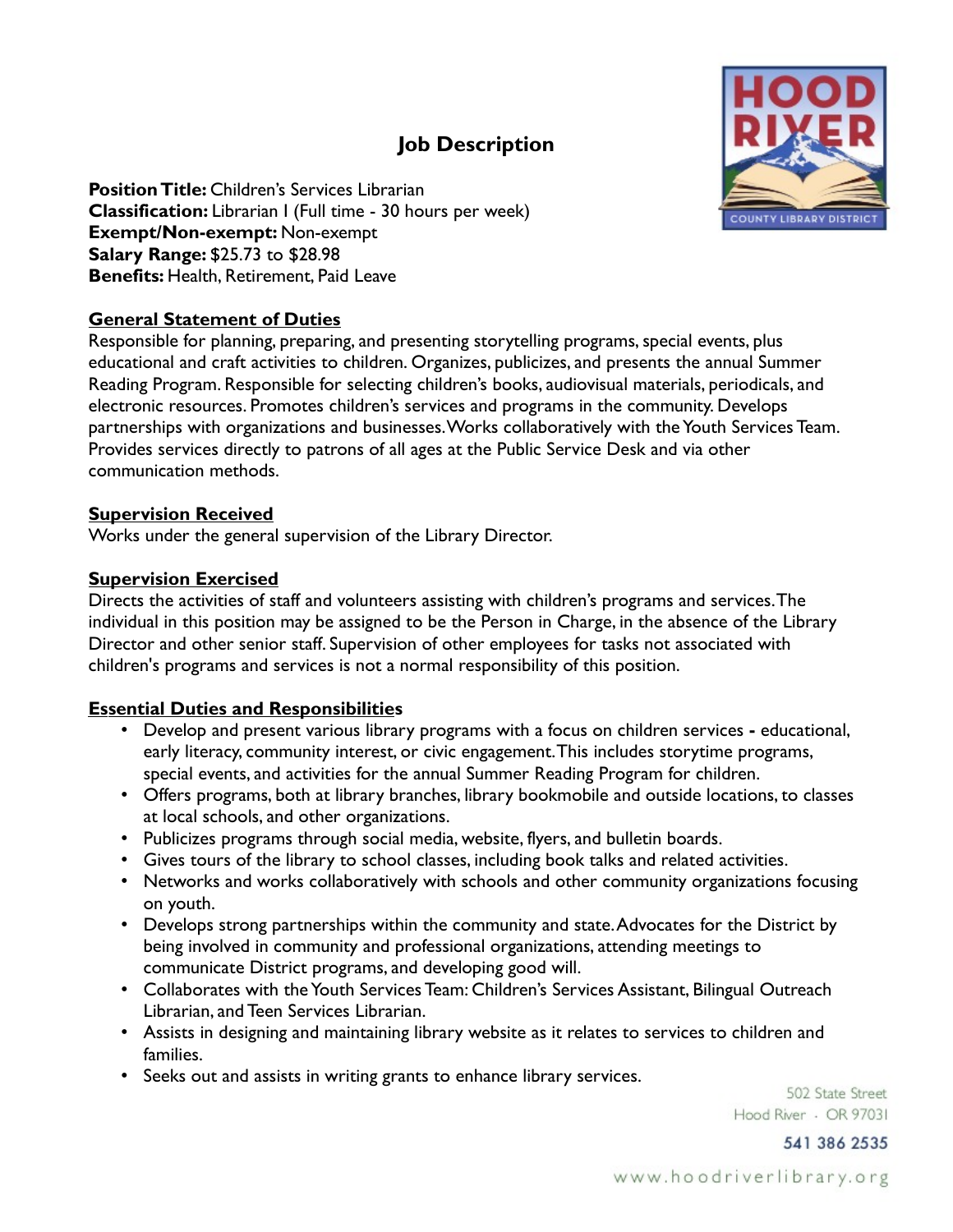# **Job Description**



**Position Title:** Children's Services Librarian **Classification:** Librarian I (Full time - 30 hours per week) **Exempt/Non-exempt:** Non-exempt **Salary Range:** \$25.73 to \$28.98 **Benefits:** Health, Retirement, Paid Leave

## **General Statement of Duties**

Responsible for planning, preparing, and presenting storytelling programs, special events, plus educational and craft activities to children. Organizes, publicizes, and presents the annual Summer Reading Program. Responsible for selecting children's books, audiovisual materials, periodicals, and electronic resources. Promotes children's services and programs in the community. Develops partnerships with organizations and businesses. Works collaboratively with the Youth Services Team. Provides services directly to patrons of all ages at the Public Service Desk and via other communication methods.

#### **Supervision Received**

Works under the general supervision of the Library Director.

## **Supervision Exercised**

Directs the activities of staff and volunteers assisting with children's programs and services. The individual in this position may be assigned to be the Person in Charge, in the absence of the Library Director and other senior staff. Supervision of other employees for tasks not associated with children's programs and services is not a normal responsibility of this position.

# **Essential Duties and Responsibilities**

- Develop and present various library programs with a focus on children services educational, early literacy, community interest, or civic engagement. This includes storytime programs, special events, and activities for the annual Summer Reading Program for children.
- Offers programs, both at library branches, library bookmobile and outside locations, to classes at local schools, and other organizations.
- Publicizes programs through social media, website, flyers, and bulletin boards.
- Gives tours of the library to school classes, including book talks and related activities.
- Networks and works collaboratively with schools and other community organizations focusing on youth.
- Develops strong partnerships within the community and state. Advocates for the District by being involved in community and professional organizations, attending meetings to communicate District programs, and developing good will.
- Collaborates with the Youth Services Team: Children's Services Assistant, Bilingual Outreach Librarian, and Teen Services Librarian.
- Assists in designing and maintaining library website as it relates to services to children and families.
- Seeks out and assists in writing grants to enhance library services.

502 State Street Hood River - OR 97031

541 386 2535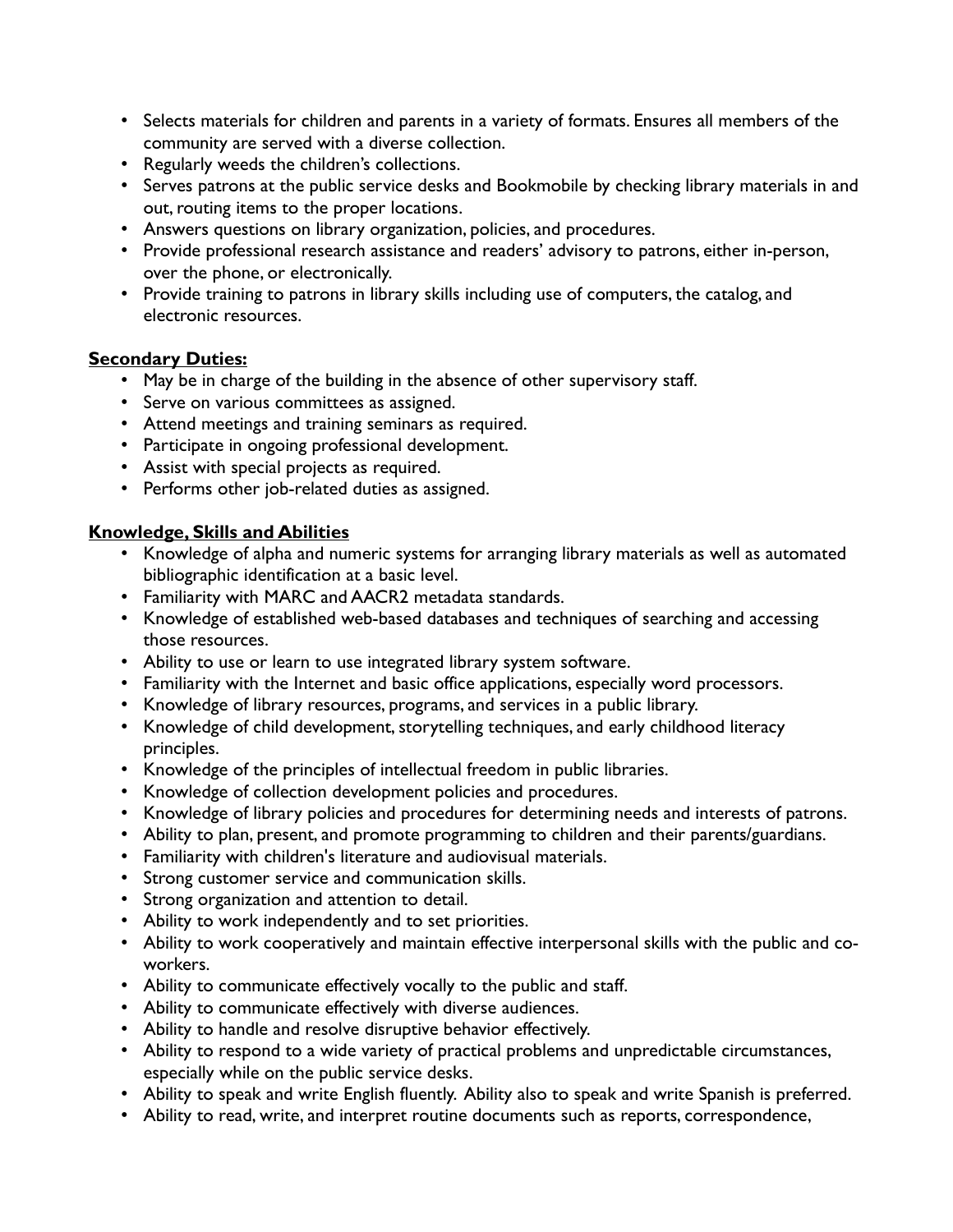- Selects materials for children and parents in a variety of formats. Ensures all members of the community are served with a diverse collection.
- Regularly weeds the children's collections.
- Serves patrons at the public service desks and Bookmobile by checking library materials in and out, routing items to the proper locations.
- Answers questions on library organization, policies, and procedures.
- Provide professional research assistance and readers' advisory to patrons, either in-person, over the phone, or electronically.
- Provide training to patrons in library skills including use of computers, the catalog, and electronic resources.

#### **Secondary Duties:**

- May be in charge of the building in the absence of other supervisory staff.
- Serve on various committees as assigned.
- Attend meetings and training seminars as required.
- Participate in ongoing professional development.
- Assist with special projects as required.
- Performs other job-related duties as assigned.

#### **Knowledge, Skills and Abilities**

- Knowledge of alpha and numeric systems for arranging library materials as well as automated bibliographic identification at a basic level.
- Familiarity with MARC and AACR2 metadata standards.
- Knowledge of established web-based databases and techniques of searching and accessing those resources.
- Ability to use or learn to use integrated library system software.
- Familiarity with the Internet and basic office applications, especially word processors.
- Knowledge of library resources, programs, and services in a public library.
- Knowledge of child development, storytelling techniques, and early childhood literacy principles.
- Knowledge of the principles of intellectual freedom in public libraries.
- Knowledge of collection development policies and procedures.
- Knowledge of library policies and procedures for determining needs and interests of patrons.
- Ability to plan, present, and promote programming to children and their parents/guardians.
- Familiarity with children's literature and audiovisual materials.
- Strong customer service and communication skills.
- Strong organization and attention to detail.
- Ability to work independently and to set priorities.
- Ability to work cooperatively and maintain effective interpersonal skills with the public and coworkers.
- Ability to communicate effectively vocally to the public and staff.
- Ability to communicate effectively with diverse audiences.
- Ability to handle and resolve disruptive behavior effectively.
- Ability to respond to a wide variety of practical problems and unpredictable circumstances, especially while on the public service desks.
- Ability to speak and write English fluently. Ability also to speak and write Spanish is preferred.
- Ability to read, write, and interpret routine documents such as reports, correspondence,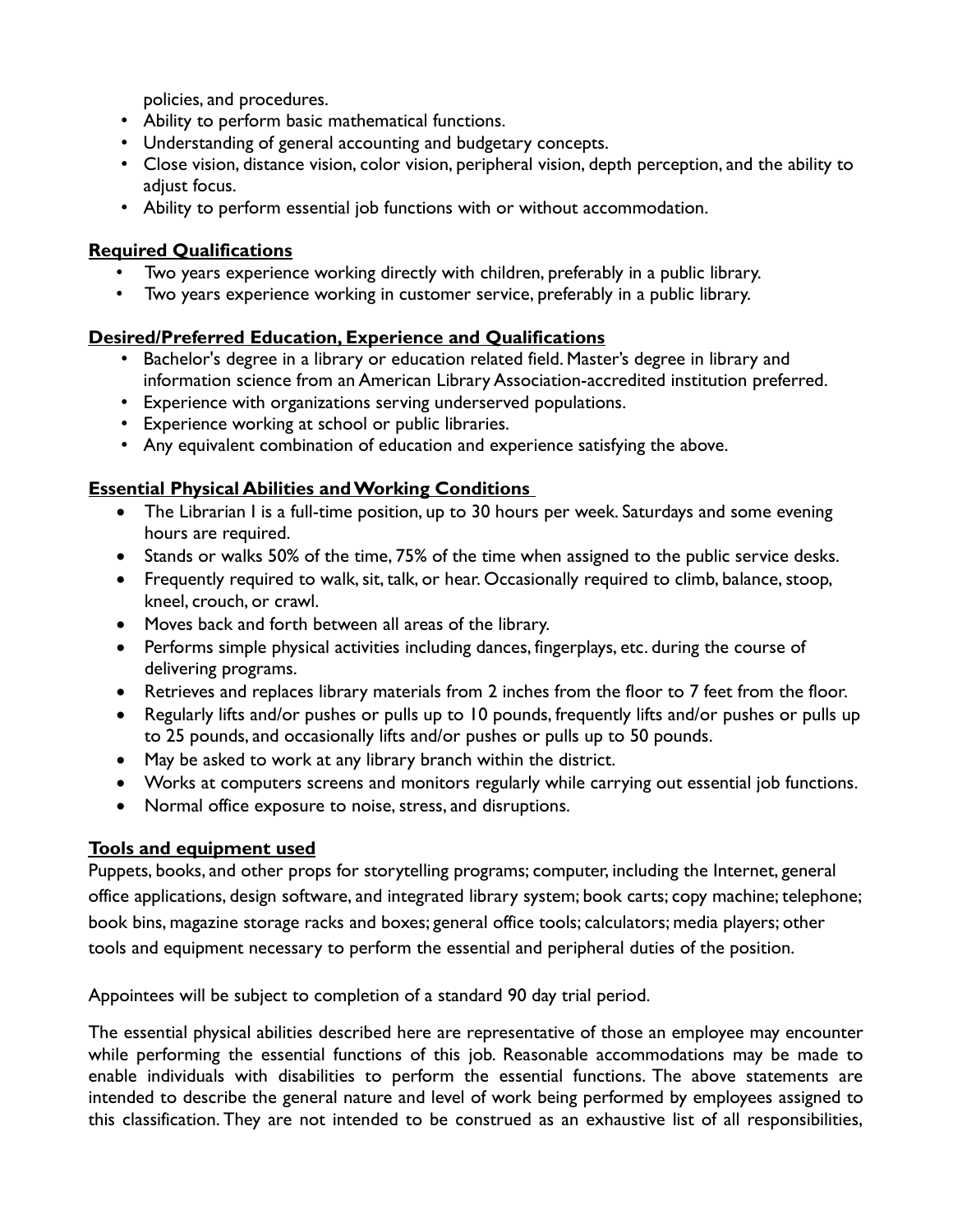policies, and procedures.

- Ability to perform basic mathematical functions.
- Understanding of general accounting and budgetary concepts.
- Close vision, distance vision, color vision, peripheral vision, depth perception, and the ability to adjust focus.
- Ability to perform essential job functions with or without accommodation.

## **Required Qualifications**

- Two years experience working directly with children, preferably in a public library.
- Two years experience working in customer service, preferably in a public library.

# **Desired/Preferred Education, Experience and Qualifications**

- Bachelor's degree in a library or education related field. Master's degree in library and information science from an American Library Association-accredited institution preferred.
- Experience with organizations serving underserved populations.
- Experience working at school or public libraries.
- Any equivalent combination of education and experience satisfying the above.

# **Essential Physical Abilities and Working Conditions**

- The Librarian I is a full-time position, up to 30 hours per week. Saturdays and some evening hours are required.
- Stands or walks 50% of the time, 75% of the time when assigned to the public service desks.
- Frequently required to walk, sit, talk, or hear. Occasionally required to climb, balance, stoop, kneel, crouch, or crawl.
- Moves back and forth between all areas of the library.
- Performs simple physical activities including dances, fingerplays, etc. during the course of delivering programs.
- Retrieves and replaces library materials from 2 inches from the floor to 7 feet from the floor.
- Regularly lifts and/or pushes or pulls up to 10 pounds, frequently lifts and/or pushes or pulls up to 25 pounds, and occasionally lifts and/or pushes or pulls up to 50 pounds.
- May be asked to work at any library branch within the district.
- Works at computers screens and monitors regularly while carrying out essential job functions.
- Normal office exposure to noise, stress, and disruptions.

# **Tools and equipment used**

Puppets, books, and other props for storytelling programs; computer, including the Internet, general office applications, design software, and integrated library system; book carts; copy machine; telephone; book bins, magazine storage racks and boxes; general office tools; calculators; media players; other tools and equipment necessary to perform the essential and peripheral duties of the position.

Appointees will be subject to completion of a standard 90 day trial period.

The essential physical abilities described here are representative of those an employee may encounter while performing the essential functions of this job. Reasonable accommodations may be made to enable individuals with disabilities to perform the essential functions. The above statements are intended to describe the general nature and level of work being performed by employees assigned to this classification. They are not intended to be construed as an exhaustive list of all responsibilities,